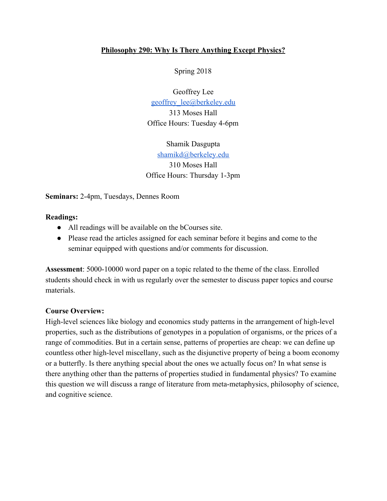### **Philosophy 290: Why Is There Anything Except Physics?**

Spring 2018

Geoffrey Lee [geoffrey\\_lee@berkeley.edu](mailto:geoffrey_lee@berkeley.edu) 313 Moses Hall Office Hours: Tuesday 4-6pm

Shamik Dasgupta [shamikd@berkeley.edu](mailto:shamikd@berkeley.edu) 310 Moses Hall Office Hours: Thursday 1-3pm

**Seminars:** 2-4pm, Tuesdays, Dennes Room

#### **Readings:**

- All readings will be available on the bCourses site.
- Please read the articles assigned for each seminar before it begins and come to the seminar equipped with questions and/or comments for discussion.

**Assessment**: 5000-10000 word paper on a topic related to the theme of the class. Enrolled students should check in with us regularly over the semester to discuss paper topics and course materials.

### **Course Overview:**

High-level sciences like biology and economics study patterns in the arrangement of high-level properties, such as the distributions of genotypes in a population of organisms, or the prices of a range of commodities. But in a certain sense, patterns of properties are cheap: we can define up countless other high-level miscellany, such as the disjunctive property of being a boom economy or a butterfly. Is there anything special about the ones we actually focus on? In what sense is there anything other than the patterns of properties studied in fundamental physics? To examine this question we will discuss a range of literature from meta-metaphysics, philosophy of science, and cognitive science.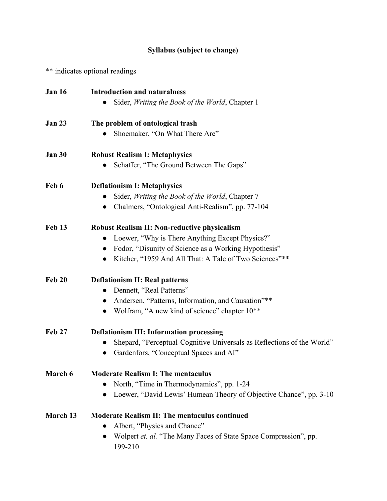# **Syllabus (subject to change)**

\*\* indicates optional readings

| <b>Jan 16</b>  | <b>Introduction and naturalness</b>                                             |
|----------------|---------------------------------------------------------------------------------|
|                | Sider, Writing the Book of the World, Chapter 1                                 |
| <b>Jan 23</b>  | The problem of ontological trash                                                |
|                | Shoemaker, "On What There Are"                                                  |
| <b>Jan 30</b>  | <b>Robust Realism I: Metaphysics</b>                                            |
|                | Schaffer, "The Ground Between The Gaps"                                         |
| Feb 6          | <b>Deflationism I: Metaphysics</b>                                              |
|                | Sider, Writing the Book of the World, Chapter 7                                 |
|                | Chalmers, "Ontological Anti-Realism", pp. 77-104                                |
| <b>Feb 13</b>  | <b>Robust Realism II: Non-reductive physicalism</b>                             |
|                | Loewer, "Why is There Anything Except Physics?"                                 |
|                | Fodor, "Disunity of Science as a Working Hypothesis"                            |
|                | Kitcher, "1959 And All That: A Tale of Two Sciences"**<br>$\bullet$             |
| <b>Feb 20</b>  | <b>Deflationism II: Real patterns</b>                                           |
|                | Dennett, "Real Patterns"                                                        |
|                | Andersen, "Patterns, Information, and Causation"**                              |
|                | Wolfram, "A new kind of science" chapter 10 <sup>**</sup><br>$\bullet$          |
| <b>Feb 27</b>  | <b>Deflationism III: Information processing</b>                                 |
|                | Shepard, "Perceptual-Cognitive Universals as Reflections of the World"          |
|                | Gardenfors, "Conceptual Spaces and AI"<br>$\bullet$                             |
| <b>March 6</b> | <b>Moderate Realism I: The mentaculus</b>                                       |
|                | North, "Time in Thermodynamics", pp. 1-24                                       |
|                | Loewer, "David Lewis' Humean Theory of Objective Chance", pp. 3-10<br>$\bullet$ |
| March 13       | <b>Moderate Realism II: The mentaculus continued</b>                            |
|                | Albert, "Physics and Chance"                                                    |
|                | Wolpert et. al. "The Many Faces of State Space Compression", pp.<br>199-210     |
|                |                                                                                 |